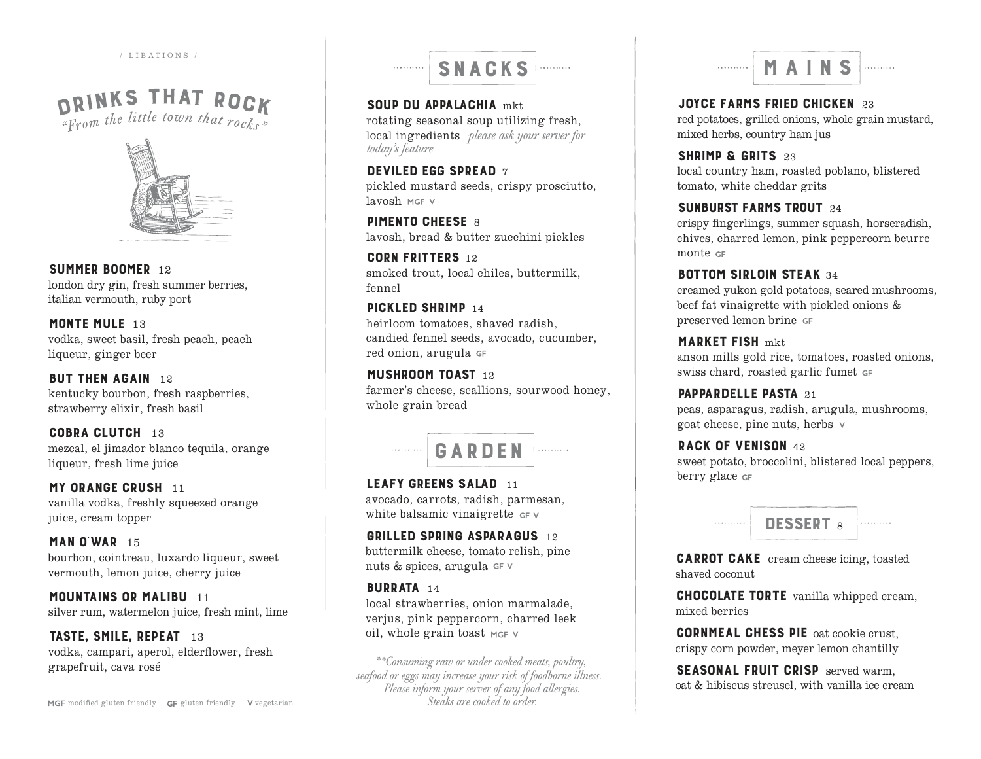/ LIBATIONS /

# DRINKS THAT ROCK



SUMMER BOOMER 12 london dry gin, fresh summer berries, italian vermouth, ruby port

MONTE MULE 13 vodka, sweet basil, fresh peach, peach liqueur, ginger beer

**BUT THEN AGAIN** 12 kentucky bourbon, fresh raspberries, strawberry elixir, fresh basil

COBRA CLUTCH 13 mezcal, el jimador blanco tequila, orange liqueur, fresh lime juice

**MY ORANGE CRUSH 11** vanilla vodka, freshly squeezed orange juice, cream topper

**MAN O'WAR**  $15$ bourbon, cointreau, luxardo liqueur, sweet vermouth, lemon juice, cherry juice

**MOUNTAINS OR MALIBU 11** silver rum, watermelon juice, fresh mint, lime

TASTE, SMILE, REPEAT 13 vodka, campari, aperol, elderflower, fresh grapefruit, cava rosé



SOUP DU APPALACHIA mkt. rotating seasonal soup utilizing fresh, local ingredients *please ask your server for today's feature*

DEVILED EGG SPREAD 7 pickled mustard seeds, crispy prosciutto, lavosh MGF V

**PIMENTO CHEESE 8** lavosh, bread & butter zucchini pickles

CORN FRITTERS 12 smoked trout, local chiles, buttermilk, fennel

PICKLED SHRIMP 14 heirloom tomatoes, shaved radish, candied fennel seeds, avocado, cucumber, red onion, arugula

MUSHROOM TOAST 12 farmer's cheese, scallions, sourwood honey, whole grain bread



LEAFY GREENS SALAD 11 avocado, carrots, radish, parmesan, white balsamic vinaigrette GFV

GRILLED SPRING ASPARAGUS 12 buttermilk cheese, tomato relish, pine nuts & spices, arugula $\mathop{\circ}\nolimits$ r $\lor$ 

#### BURRATA 14

local strawberries, onion marmalade, verjus, pink peppercorn, charred leek oil, whole grain toast MGF V

*\*\*Consuming raw or under cooked meats, poultry, seafood or eggs may increase your risk of foodborne illness. Please inform your server of any food allergies. Steaks are cooked to order.*

. . . . . . . . . .

JOYCE FARMS FRIED CHICKEN 23 red potatoes, grilled onions, whole grain mustard, mixed herbs, country ham jus

SHRIMP & GRITS 23 local country ham, roasted poblano, blistered tomato, white cheddar grits

sunburst farms trout <sup>24</sup>

crispy fingerlings, summer squash, horseradish, chives, charred lemon, pink peppercorn beurre monte GF

**BOTTOM SIRLOIN STEAK 34** creamed yukon gold potatoes, seared mushrooms, beef fat vinaigrette with pickled onions & preserved lemon brine

MARKET FISH mkt anson mills gold rice, tomatoes, roasted onions, swiss chard, roasted garlic fumet

**PAPPARDELLE PASTA 21** peas, asparagus, radish, arugula, mushrooms, goat cheese, pine nuts, herbs

RACK OF VENISON 42

sweet potato, broccolini, blistered local peppers, berry glace GF



CARROT CAKE cream cheese icing, toasted shaved coconut

CHOCOLATE TORTE vanilla whipped cream, mixed berries

CORNMEAL CHESS PIE oat cookie crust, crispy corn powder, meyer lemon chantilly

SEASONAL FRUIT CRISP served warm. oat & hibiscus streusel, with vanilla ice cream